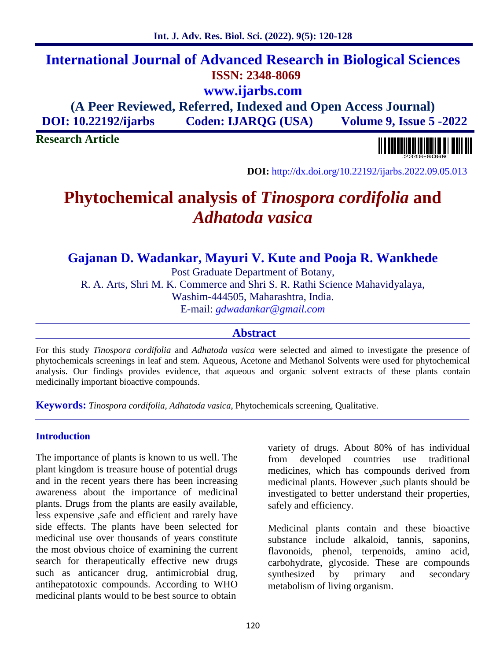## **International Journal of Advanced Research in Biological Sciences ISSN: 2348-8069 www.ijarbs.com**

**(A Peer Reviewed, Referred, Indexed and Open Access Journal) DOI: 10.22192/ijarbs Coden: IJARQG (USA) Volume 9, Issue 5 -2022**

**Research Article**

**DOI:** http://dx.doi.org/10.22192/ijarbs.2022.09.05.013

# **Phytochemical analysis of** *Tinospora cordifolia* **and** *Adhatoda vasica*

## **Gajanan D. Wadankar, Mayuri V. Kute and Pooja R. Wankhede**

Post Graduate Department of Botany, R. A. Arts, Shri M. K. Commerce and Shri S. R. Rathi Science Mahavidyalaya, Washim-444505, Maharashtra, India.

E-mail: *gdwadankar@gmail.com*

#### **Abstract**

For this study *Tinospora cordifolia* and *Adhatoda vasica* were selected and aimed to investigate the presence of phytochemicals screenings in leaf and stem. Aqueous, Acetone and Methanol Solvents were used for phytochemical analysis. Our findings provides evidence, that aqueous and organic solvent extracts of these plants contain medicinally important bioactive compounds.

**Keywords:** *Tinospora cordifolia, Adhatoda vasica*, Phytochemicals screening, Qualitative.

#### **Introduction**

The importance of plants is known to us well. The from plant kingdom is treasure house of potential drugs and in the recent years there has been increasing awareness about the importance of medicinal plants. Drugs from the plants are easily available, less expensive ,safe and efficient and rarely have side effects. The plants have been selected for medicinal use over thousands of years constitute the most obvious choice of examining the current search for therapeutically effective new drugs such as anticancer drug, antimicrobial drug, antihepatotoxic compounds. According to WHO medicinal plants would to be best source to obtain

variety of drugs. About 80% of has individual developed countries use traditional medicines, which has compounds derived from medicinal plants. However ,such plants should be investigated to better understand their properties, safely and efficiency.

Medicinal plants contain and these bioactive substance include alkaloid, tannis, saponins, flavonoids, phenol, terpenoids, amino acid, carbohydrate, glycoside. These are compounds synthesized by primary and secondary metabolism of living organism.

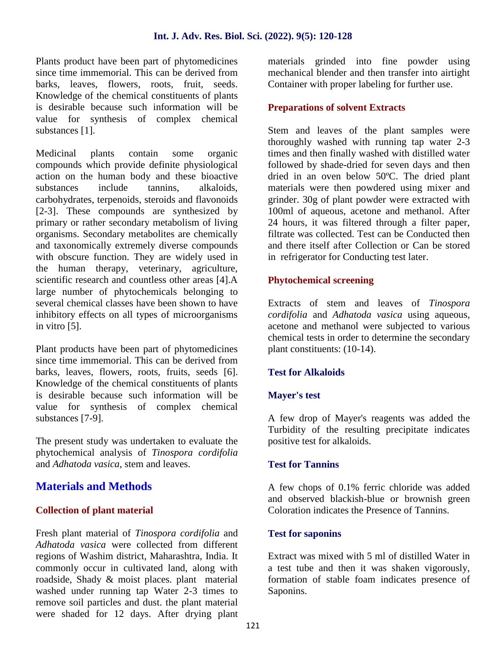Plants product have been part of phytomedicines since time immemorial. This can be derived from barks, leaves, flowers, roots, fruit, seeds. Knowledge of the chemical constituents of plants is desirable because such information will be value for synthesis of complex chemical substances [1].

Medicinal plants contain some organic compounds which provide definite physiological action on the human body and these bioactive substances include tannins, alkaloids, carbohydrates, terpenoids, steroids and flavonoids [2-3]. These compounds are synthesized by primary or rather secondary metabolism of living organisms. Secondary metabolites are chemically and taxonomically extremely diverse compounds with obscure function. They are widely used in the human therapy, veterinary, agriculture, scientific research and countless other areas [4].A large number of phytochemicals belonging to several chemical classes have been shown to have inhibitory effects on all types of microorganisms in vitro [5].

Plant products have been part of phytomedicines since time immemorial. This can be derived from barks, leaves, flowers, roots, fruits, seeds [6]. Knowledge of the chemical constituents of plants is desirable because such information will be value for synthesis of complex chemical substances [7-9].

The present study was undertaken to evaluate the phytochemical analysis of *Tinospora cordifolia* and *Adhatoda vasica*, stem and leaves.

## **Materials and Methods**

#### **Collection of plant material**

Fresh plant material of *Tinospora cordifolia* and *Adhatoda vasica* were collected from different regions of Washim district, Maharashtra, India. It commonly occur in cultivated land, along with roadside, Shady & moist places. plant material washed under running tap Water 2-3 times to remove soil particles and dust. the plant material were shaded for 12 days. After drying plant materials grinded into fine powder using mechanical blender and then transfer into airtight Container with proper labeling for further use.

## **Preparations of solvent Extracts**

Stem and leaves of the plant samples were thoroughly washed with running tap water 2-3 times and then finally washed with distilled water followed by shade-dried for seven days and then dried in an oven below 50ºC. The dried plant materials were then powdered using mixer and grinder. 30g of plant powder were extracted with 100ml of aqueous, acetone and methanol. After 24 hours, it was filtered through a filter paper, filtrate was collected. Test can be Conducted then and there itself after Collection or Can be stored in refrigerator for Conducting test later.

#### **Phytochemical screening**

Extracts of stem and leaves of *Tinospora cordifolia* and *Adhatoda vasica* using aqueous, acetone and methanol were subjected to various chemical tests in order to determine the secondary plant constituents: (10-14).

## **Test for Alkaloids**

#### **Mayer's test**

A few drop of Mayer's reagents was added the Turbidity of the resulting precipitate indicates positive test for alkaloids.

#### **Test for Tannins**

A few chops of 0.1% ferric chloride was added and observed blackish-blue or brownish green Coloration indicates the Presence of Tannins.

#### **Test for saponins**

Extract was mixed with 5 ml of distilled Water in a test tube and then it was shaken vigorously, formation of stable foam indicates presence of Saponins.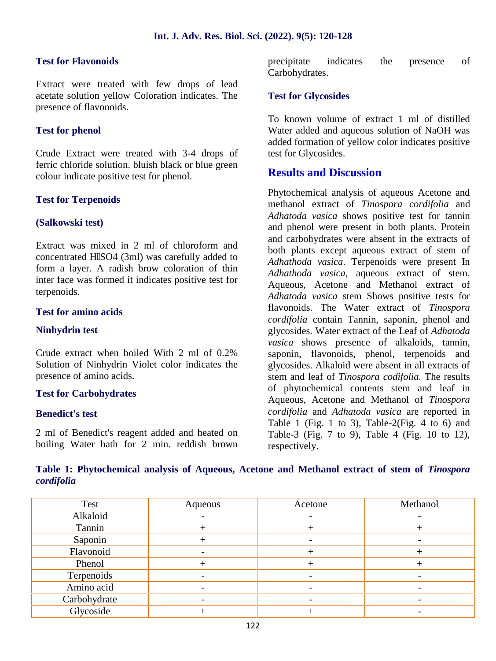#### **Test for Flavonoids**

Extract were treated with few drops of lead acetate solution yellow Coloration indicates. The presence of flavonoids.

#### **Test for phenol**

Crude Extract were treated with 3-4 drops of ferric chloride solution. bluish black or blue green colour indicate positive test for phenol.

#### **Test for Terpenoids**

#### **(Salkowski test)**

Extract was mixed in 2 ml of chloroform and concentrated H SO4 (3ml) was carefully added to form a layer. A radish brow coloration of thin inter face was formed it indicates positive test for terpenoids.

#### **Test for amino acids**

#### **Ninhydrin test**

Crude extract when boiled With 2 ml of 0.2% Solution of Ninhydrin Violet color indicates the presence of amino acids.

#### **Test for Carbohydrates**

#### **Benedict's test**

2 ml of Benedict's reagent added and heated on boiling Water bath for 2 min. reddish brown

precipitate indicates the presence of Carbohydrates.

#### **Test for Glycosides**

To known volume of extract 1 ml of distilled Water added and aqueous solution of NaOH was added formation of yellow color indicates positive test for Glycosides.

#### **Results and Discussion**

Phytochemical analysis of aqueous Acetone and methanol extract of *Tinospora cordifolia* and *Adhatoda vasica* shows positive test for tannin and phenol were present in both plants. Protein and carbohydrates were absent in the extracts of both plants except aqueous extract of stem of *Adhathoda vasica*. Terpenoids were present In *Adhathoda vasica*, aqueous extract of stem. Aqueous, Acetone and Methanol extract of *Adhatoda vasica* stem Shows positive tests for flavonoids. The Water extract of *Tinospora cordifolia* contain Tannin, saponin, phenol and glycosides. Water extract of the Leaf of *Adhatoda vasica* shows presence of alkaloids, tannin, saponin, flavonoids, phenol, terpenoids and glycosides. Alkaloid were absent in all extracts of stem and leaf of *Tinospora codifolia.* The results of phytochemical contents stem and leaf in Aqueous, Acetone and Methanol of *Tinospora cordifolia* and *Adhatoda vasica* are reported in Table 1 (Fig. 1 to 3), Table-2(Fig. 4 to 6) and Table-3 (Fig. 7 to 9), Table 4 (Fig. 10 to 12), respectively.

|            | Table 1: Phytochemical analysis of Aqueous, Acetone and Methanol extract of stem of Tinospora |  |  |  |  |  |
|------------|-----------------------------------------------------------------------------------------------|--|--|--|--|--|
| cordifolia |                                                                                               |  |  |  |  |  |

| Test         | Aqueous | Acetone | Methanol |
|--------------|---------|---------|----------|
| Alkaloid     |         |         |          |
| Tannin       |         |         |          |
| Saponin      |         |         |          |
| Flavonoid    |         |         |          |
| Phenol       |         |         |          |
| Terpenoids   |         |         |          |
| Amino acid   |         |         |          |
| Carbohydrate |         |         |          |
| Glycoside    |         |         |          |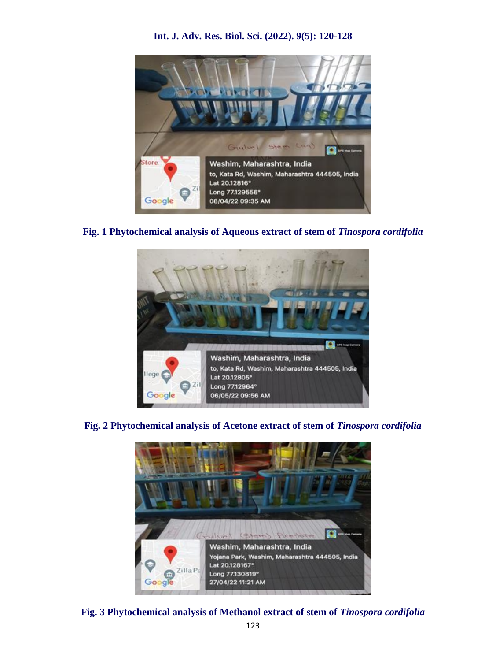#### **Int. J. Adv. Res. Biol. Sci. (2022). 9(5): 120-128**



#### **Fig. 1 Phytochemical analysis of Aqueous extract of stem of** *Tinospora cordifolia*



**Fig. 2 Phytochemical analysis of Acetone extract of stem of** *Tinospora cordifolia*



**Fig. 3 Phytochemical analysis of Methanol extract of stem of** *Tinospora cordifolia*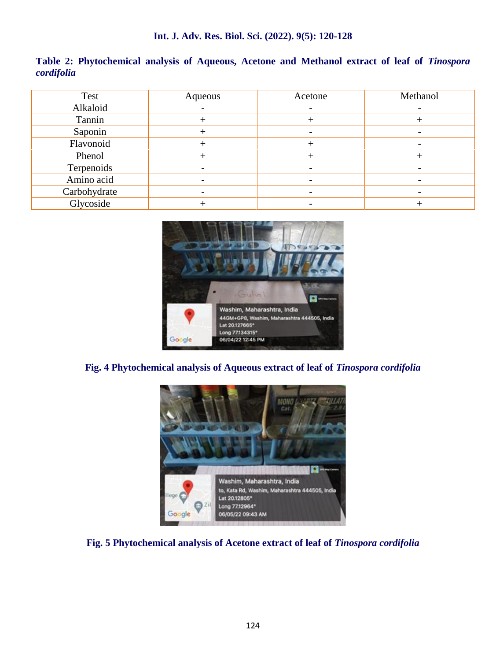|            | Table 2: Phytochemical analysis of Aqueous, Acetone and Methanol extract of leaf of Tinospora |  |  |  |  |  |
|------------|-----------------------------------------------------------------------------------------------|--|--|--|--|--|
| cordifolia |                                                                                               |  |  |  |  |  |

| Test         | Aqueous | Acetone        | Methanol                 |
|--------------|---------|----------------|--------------------------|
| Alkaloid     |         | $\overline{a}$ | -                        |
| Tannin       |         |                |                          |
| Saponin      |         |                |                          |
| Flavonoid    |         |                | $\overline{\phantom{0}}$ |
| Phenol       |         |                |                          |
| Terpenoids   |         |                |                          |
| Amino acid   |         |                |                          |
| Carbohydrate |         |                |                          |
| Glycoside    |         |                |                          |



## **Fig. 4 Phytochemical analysis of Aqueous extract of leaf of** *Tinospora cordifolia*



## **Fig. 5 Phytochemical analysis of Acetone extract of leaf of** *Tinospora cordifolia*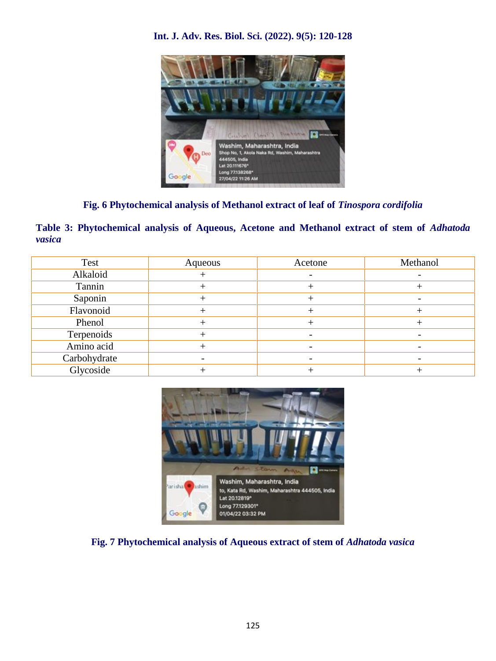## **Int. J. Adv. Res. Biol. Sci. (2022). 9(5): 120-128**



## **Fig. 6 Phytochemical analysis of Methanol extract of leaf of** *Tinospora cordifolia*

**Table 3: Phytochemical analysis of Aqueous, Acetone and Methanol extract of stem of** *Adhatoda vasica*

| Test         | Aqueous | Acetone | Methanol                 |
|--------------|---------|---------|--------------------------|
| Alkaloid     |         |         |                          |
| Tannin       |         |         |                          |
| Saponin      |         |         | $\overline{\phantom{0}}$ |
| Flavonoid    |         |         |                          |
| Phenol       |         |         |                          |
| Terpenoids   |         |         |                          |
| Amino acid   |         |         |                          |
| Carbohydrate |         |         |                          |
| Glycoside    |         |         |                          |



#### **Fig. 7 Phytochemical analysis of Aqueous extract of stem of** *Adhatoda vasica*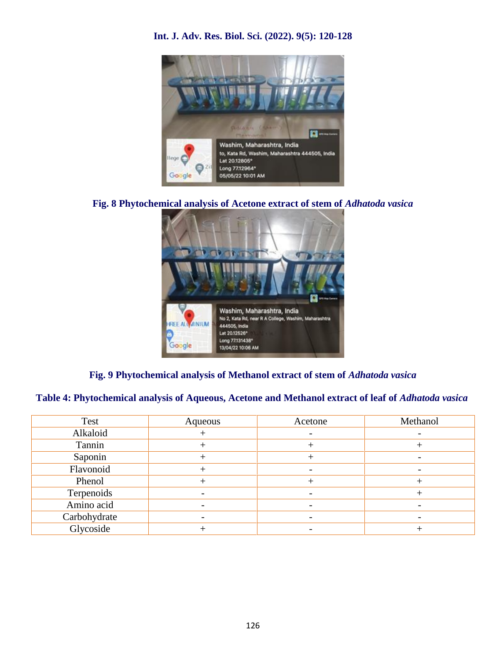

## **Int. J. Adv. Res. Biol. Sci. (2022). 9(5): 120-128**

**Fig. 8 Phytochemical analysis of Acetone extract of stem of** *Adhatoda vasica*



## **Fig. 9 Phytochemical analysis of Methanol extract of stem of** *Adhatoda vasica*

#### **Table 4: Phytochemical analysis of Aqueous, Acetone and Methanol extract of leaf of** *Adhatoda vasica*

| Aqueous | Acetone | Methanol                 |
|---------|---------|--------------------------|
|         |         | $\overline{\phantom{0}}$ |
|         |         |                          |
|         |         |                          |
|         |         |                          |
|         |         |                          |
|         |         |                          |
|         |         |                          |
|         |         |                          |
|         |         |                          |
|         |         |                          |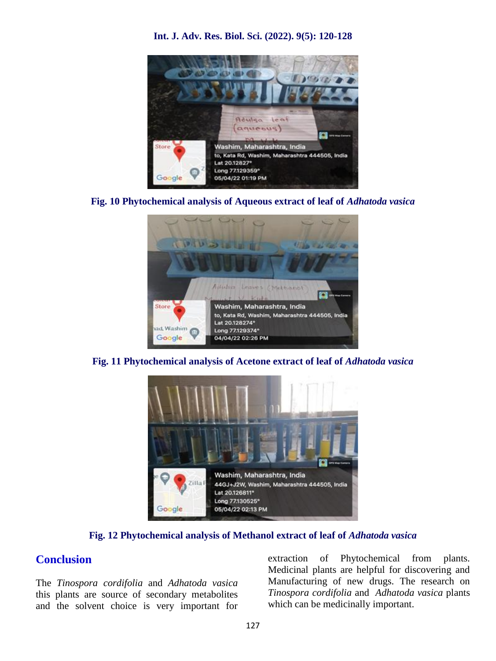

**Int. J. Adv. Res. Biol. Sci. (2022). 9(5): 120-128**

**Fig. 10 Phytochemical analysis of Aqueous extract of leaf of** *Adhatoda vasica*



**Fig. 11 Phytochemical analysis of Acetone extract of leaf of** *Adhatoda vasica*



**Fig. 12 Phytochemical analysis of Methanol extract of leaf of** *Adhatoda vasica*

## **Conclusion**

The *Tinospora cordifolia* and *Adhatoda vasica* this plants are source of secondary metabolites and the solvent choice is very important for

extraction of Phytochemical from plants. Medicinal plants are helpful for discovering and Manufacturing of new drugs. The research on *Tinospora cordifolia* and *Adhatoda vasica* plants which can be medicinally important.